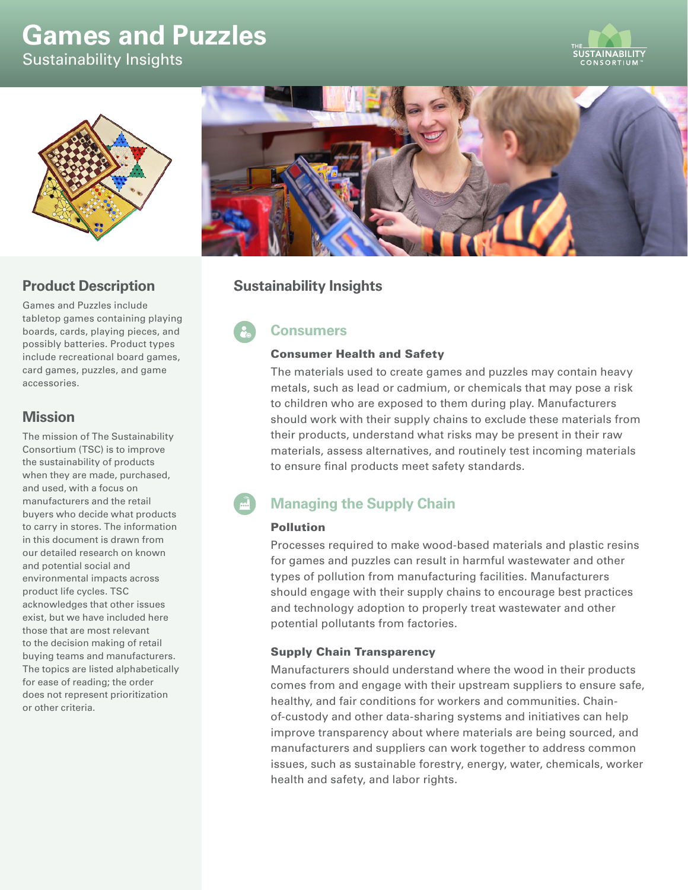# **Games and Puzzles**

Sustainability Insights





## **Product Description**

Games and Puzzles include tabletop games containing playing boards, cards, playing pieces, and possibly batteries. Product types include recreational board games, card games, puzzles, and game accessories.

# **Mission**

The mission of The Sustainability Consortium (TSC) is to improve the sustainability of products when they are made, purchased, and used, with a focus on manufacturers and the retail buyers who decide what products to carry in stores. The information in this document is drawn from our detailed research on known and potential social and environmental impacts across product life cycles. TSC acknowledges that other issues exist, but we have included here those that are most relevant to the decision making of retail buying teams and manufacturers. The topics are listed alphabetically for ease of reading; the order does not represent prioritization or other criteria.



# **Sustainability Insights**

# **Consumers**

### Consumer Health and Safety

The materials used to create games and puzzles may contain heavy metals, such as lead or cadmium, or chemicals that may pose a risk to children who are exposed to them during play. Manufacturers should work with their supply chains to exclude these materials from their products, understand what risks may be present in their raw materials, assess alternatives, and routinely test incoming materials to ensure final products meet safety standards.

# **Managing the Supply Chain**

## Pollution

Processes required to make wood-based materials and plastic resins for games and puzzles can result in harmful wastewater and other types of pollution from manufacturing facilities. Manufacturers should engage with their supply chains to encourage best practices and technology adoption to properly treat wastewater and other potential pollutants from factories.

## Supply Chain Transparency

Manufacturers should understand where the wood in their products comes from and engage with their upstream suppliers to ensure safe, healthy, and fair conditions for workers and communities. Chainof-custody and other data-sharing systems and initiatives can help improve transparency about where materials are being sourced, and manufacturers and suppliers can work together to address common issues, such as sustainable forestry, energy, water, chemicals, worker health and safety, and labor rights.